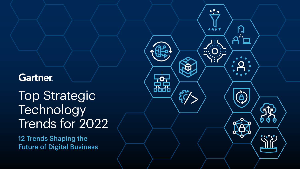### **Gartner**

**Top Strategic Technology** Trends for 2022

12 Trends Shaping the Future of Digital Business

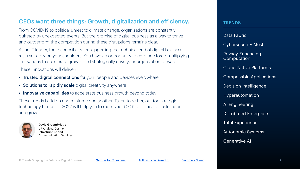### CEOs want three things: Growth, digitalization and efficiency.

From COVID-19 to political unrest to climate change, organizations are constantly buffeted by unexpected events. But the promise of digital business as a way to thrive and outperform the competition during these disruptions remains clear.

As an IT leader, the responsibility for supporting the technical end of digital business rests squarely on your shoulders. You have an opportunity to embrace force-multiplying innovations to accelerate growth and strategically drive your organization forward.

These innovations will deliver:

- Trusted digital connections for your people and devices everywhere
- Solutions to rapidly scale digital creativity anywhere
- Innovative capabilities to accelerate business growth beyond today

These trends build on and reinforce one another. Taken together, our top strategic technology trends for 2022 will help you to meet your CEO's priorities to scale, adapt and grow.



**David Groombridge** VP Analyst, Gartner Infrastructure and Communication Services **TRENDS** 

Data Fabric Cybersecurity Mesh Privacy-Enhancing Computation Cloud-Native Platforms Composable Applications Decision Intelligence Hyperautomation AI Engineering Distributed Enterprise Total Experience Autonomic Systems Generative AI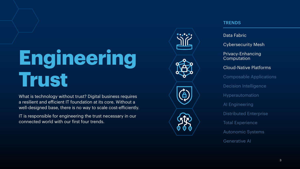## **Engineering Trust**

What is technology without trust? Digital business requires a resilient and efficient IT foundation at its core. Without a well-designed base, there is no way to scale cost-efficiently.

IT is responsible for engineering the trust necessary in our connected world with our first four trends.



### TRENDS

### Data Fabric

Cybersecurity Mesh

Privacy-Enhancing **Computation** 

### Cloud-Native Platforms

Composable Applications Decision Intelligence Hyperautomation AI Engineering Distributed Enterprise Total Experience Autonomic Systems Generative AI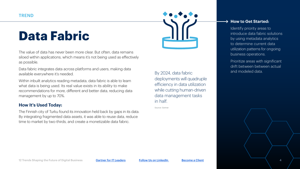### **Data Fabric**



Data fabric integrates data across platforms and users, making data available everywhere it's needed.

Within inbuilt analytics reading metadata, data fabric is able to learn what data is being used. Its real value exists in its ability to make recommendations for more, different and better data, reducing data management by up to 70%.

### **How It's Used Today:**

The Finnish city of Turku found its innovation held back by gaps in its data. By integrating fragmented data assets, it was able to reuse data, reduce time to market by two-thirds, and create a monetizable data fabric.



By 2024, data fabric deployments will quadruple efficiency in data utilization while cutting human-driven data management tasks in half.

Source: Gartner

#### **→ How to Get Started:**

Identify priority areas to introduce data fabric solutions by using metadata analytics to determine current data utilization patterns for ongoing business operations.

Prioritize areas with significant drift between between actual and modeled data.

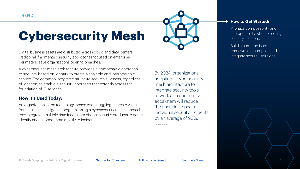### **Cybersecurity Mesh**

Digital business assets are distributed across cloud and data centers. Traditional, fragmented security approaches focused on enterprise perimeters leave organizations open to breaches.

A cybersecurity mesh architecture provides a composable approach to security based on identity to create a scalable and interoperable service. The common integrated structure secures all assets, regardless of location, to enable a security approach that extends across the foundation of IT services.

### **How It's Used Today:**

An organization in the technology space was struggling to create value from its threat intelligence program. Using a cybersecurity mesh approach, they integrated multiple data feeds from distinct security products to better identify and respond more quickly to incidents.

By 2024, organizations adopting a cybersecurity mesh architecture to integrate security tools to work as a cooperative ecosystem will reduce the financial impact of individual security incidents

Source: Gartner

by an average of 90%.

#### **→ How to Get Started:**

Prioritize composability and interoperability when selecting security solutions.

Build a common base framework to compose and integrate security solutions.

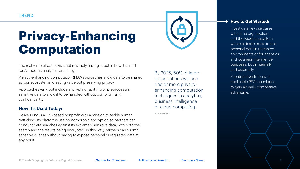### **Privacy-Enhancing Computation**

The real value of data exists not in simply having it, but in how it's used for AI models, analytics, and insight.

Privacy-enhancing computation (PEC) approaches allow data to be shared across ecosystems, creating value but preserving privacy.

Approaches vary, but include encrypting, splitting or preprocessing sensitive data to allow it to be handled without compromising confidentiality.

### **How It's Used Today:**

DeliverFund is a U.S.-based nonprofit with a mission to tackle human trafficking. Its platforms use homomorphic encryption so partners can conduct data searches against its extremely sensitive data, with both the search and the results being encrypted. In this way, partners can submit sensitive queries without having to expose personal or regulated data at any point.



By 2025, 60% of large organizations will use one or more privacyenhancing computation techniques in analytics, business intelligence or cloud computing.

Source: Gartner

#### **→ How to Get Started:**

Investigate key use cases within the organization and the wider ecosystem where a desire exists to use personal data in untrusted environments or for analytics and business intelligence purposes, both internally and externally.

Prioritize investments in applicable PEC techniques to gain an early competitive advantage.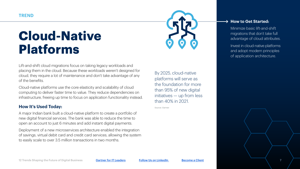### **Cloud-Native Platforms**



Lift-and-shift cloud migrations focus on taking legacy workloads and placing them in the cloud. Because these workloads weren't designed for cloud, they require a lot of maintenance and don't take advantage of any of the benefits.

Cloud-native platforms use the core elasticity and scalability of cloud computing to deliver faster time to value. They reduce dependencies on infrastructure, freeing up time to focus on application functionality instead.

### **How It's Used Today:**

A major Indian bank built a cloud-native platform to create a portfolio of new digital financial services. The bank was able to reduce the time to open an account to just 6 minutes and add instant digital payments.

Deployment of a new microservices architecture enabled the integration of savings, virtual debit card and credit card services, allowing the system to easily scale to over 3.5 million transactions in two months.

By 2025, cloud-native platforms will serve as the foundation for more than 95% of new digital initiatives — up from less than 40% in 2021.

Source: Gartner

#### **→ How to Get Started:**

Minimize basic lift-and-shift migrations that don't take full advantage of cloud attributes.

Invest in cloud-native platforms and adopt modern principles of application architecture.

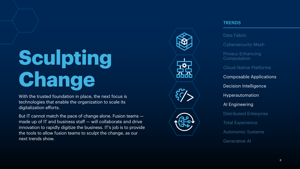# **Sculpting Change**

With the trusted foundation in place, the next focus is technologies that enable the organization to scale its digitalization efforts.

But IT cannot match the pace of change alone. Fusion teams made up of IT and business staff — will collaborate and drive innovation to rapidly digitize the business. IT's job is to provide the tools to allow fusion teams to sculpt the change, as our next trends show.



### TRENDS

Data Fabric

Cybersecurity Mesh

Privacy-Enhancing Computation

Cloud-Native Platforms

Composable Applications Decision Intelligence

Hyperautomation

AI Engineering

Distributed Enterprise

Total Experience

Autonomic Systems

Generative AI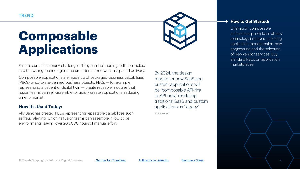### **Composable Applications**



Composable applications are made up of packaged-business capabilities (PBCs) or software-defined business objects. PBCs — for example representing a patient or digital twin — create reusable modules that fusion teams can self-assemble to rapidly create applications, reducing time to market.

### **How It's Used Today:**

Ally Bank has created PBCs representing repeatable capabilities such as fraud alerting, which its fusion teams can assemble in low-code environments, saving over 200,000 hours of manual effort.

By 2024, the design mantra for new SaaS and custom applications will be "composable API-first or API-only," rendering traditional SaaS and custom applications as "legacy."

Source: Gartner

#### **→ How to Get Started:**

Champion composable architectural principles in all new technology initiatives, including application modernization, new engineering and the selection of new vendor services. Buy standard PBCs on application marketplaces.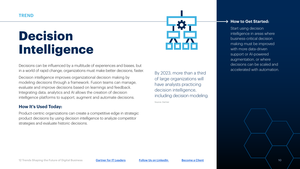### **Decision Intelligence**

Decisions can be influenced by a multitude of experiences and biases, but in a world of rapid change, organizations must make better decisions, faster.

Decision intelligence improves organizational decision making by modeling decisions through a framework. Fusion teams can manage, evaluate and improve decisions based on learnings and feedback. Integrating data, analytics and AI allows the creation of decision intelligence platforms to support, augment and automate decisions.

### **How It's Used Today:**

Product-centric organizations can create a competitive edge in strategic product decisions by using decision intelligence to analyze competitor strategies and evaluate historic decisions.



By 2023, more than a third of large organizations will have analysts practicing decision intelligence, including decision modeling.

Source: Gartner

#### **→ How to Get Started:**

Start using decision intelligence in areas where business-critical decision making must be improved with more data-driven support or AI-powered augmentation, or where decisions can be scaled and accelerated with automation.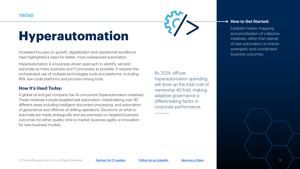### **Hyperautomation**

Increased focuses on growth, digitalization and operational excellence have highlighted a need for better, more widespread automation.

Hyperautomation is a business-driven approach to identify, vet and automate as many business and IT processes as possible. It requires the orchestrated use of multiple technologies tools and platforms, including RPA, low-code platforms and process mining tools.

### **How It's Used Today:**

A global oil and gas company has 14 concurrent hyperautomation initiatives. These initiatives include targeted task automation, industrializing over 90 different areas including intelligent document processing, and automation of geoscience and offshore oil drilling operations. Decisions on what to automate are made strategically and are premised on targeted business outcomes for either quality, time to market, business agility or innovation for new business models.

By 2024, diffuse hyperautomation spending will drive up the total cost of ownership 40-fold, making adaptive governance a differentiating factor in corporate performance.

Source: Gartner

#### **→ How to Get Started:**

Establish holistic mapping and prioritization of collective initiatives, rather than islands of task automation, to ensure synergistic and coordinated business outcomes.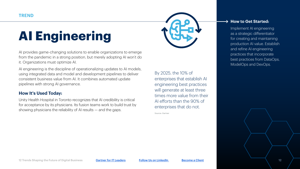### **AI Engineering**

AI provides game-changing solutions to enable organizations to emerge from the pandemic in a strong position, but merely adopting AI won't do it. Organizations must optimize AI.

AI engineering is the discipline of operationalizing updates to AI models, using integrated data and model and development pipelines to deliver consistent business value from AI. It combines automated update pipelines with strong AI governance.

### **How It's Used Today:**

Unity Health Hospital in Toronto recognizes that AI credibility is critical for acceptance by its physicians. Its fusion teams work to build trust by showing physicians the reliability of AI results — and the gaps.

By 2025, the 10% of enterprises that establish AI engineering best practices will generate at least three times more value from their AI efforts than the 90% of enterprises that do not.

Source: Gartner

#### **→ How to Get Started:**

Implement AI engineering as a strategic differentiator for creating and maintaining production AI value. Establish and refine AI engineering practices that incorporate best practices from DataOps, ModelOps and DevOps.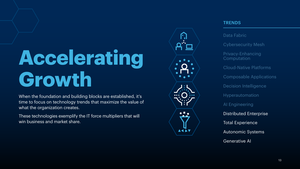## **Accelerating Growth**

When the foundation and building blocks are established, it's time to focus on technology trends that maximize the value of what the organization creates.

These technologies exemplify the IT force multipliers that will win business and market share.



### **TRENDS**

Data Fabric

Cybersecurity Mesh

Privacy-Enhancing Computation Cloud-Native Platforms Composable Applications Decision Intelligence Hyperautomation AI Engineering Distributed Enterprise Total Experience Autonomic Systems Generative AI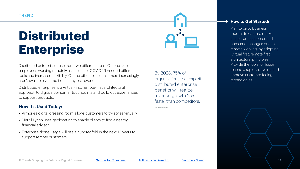### **Distributed Enterprise**

Distributed enterprise arose from two different areas. On one side, employees working remotely as a result of COVID-19 needed different tools and increased flexibility. On the other side, consumers increasingly aren't available via traditional, physical avenues.

Distributed enterprise is a virtual-first, remote-first architectural approach to digitize consumer touchpoints and build out experiences to support products.

### **How It's Used Today:**

- Armoire's digital dressing room allows customers to try styles virtually.
- Merrill Lynch uses geolocation to enable clients to find a nearby financial advisor.
- Enterprise drone usage will rise a hundredfold in the next 10 years to support remote customers.

By 2023, 75% of organizations that exploit distributed enterprise benefits will realize revenue growth 25% faster than competitors.

Source: Gartner

Plan to pivot business models to capture market share from customer and consumer changes due to remote working, by adopting "virtual first, remote first" architectural principles. Provide the tools for fusion teams to rapidly develop and improve customer-facing technologies.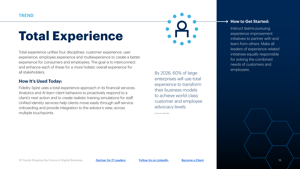### **Total Experience**

Total experience unifies four disciplines: customer experience, user experience, employee experience and multiexperience to create a better experience for consumers and employees. The goal is to interconnect and enhance each of these for a more holistic overall experience for all stakeholders.

#### **How It's Used Today:**

Fidelity Spire uses a total experience approach in its financial services. Analytics and AI learn client behaviors to proactively respond to a client's next action and to create realistic training simulations for staff. Unified identity services help clients move easily through self-service onboarding and provide integration to the advisor's view, across multiple touchpoints.

By 2026, 60% of large enterprises will use total experience to transform their business models to achieve world-class customer and employee advocacy levels.

Source: Gartner

#### **→ How to Get Started:**

Instruct teams pursuing experience improvement initiatives to partner with and learn from others. Make all leaders of experience-related initiatives equally responsible for solving the combined needs of customers and employees.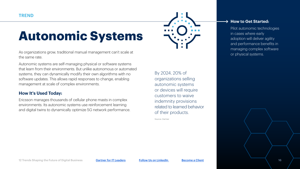### **Autonomic Systems**

As organizations grow, traditional manual management can't scale at the same rate.

Autonomic systems are self-managing physical or software systems that learn from their environments. But unlike autonomous or automated systems, they can dynamically modify their own algorithms with no software updates. This allows rapid responses to change, enabling management at scale of complex environments.

### **How It's Used Today:**

Ericsson manages thousands of cellular phone masts in complex environments. Its autonomic systems use reinforcement learning and digital twins to dynamically optimize 5G network performance.

By 2024, 20% of organizations selling autonomic systems or devices will require customers to waive indemnity provisions related to learned behavior of their products.

Source: Gartner

#### **→ How to Get Started:**

Pilot autonomic technologies in cases where early adoption will deliver agility and performance benefits in managing complex software or physical systems.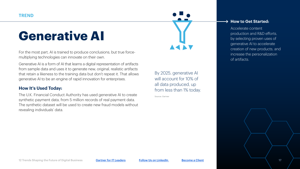### **Generative AI**

For the most part, AI is trained to produce conclusions, but true forcemultiplying technologies can innovate on their own.

Generative AI is a form of AI that learns a digital representation of artifacts from sample data and uses it to generate new, original, realistic artifacts that retain a likeness to the training data but don't repeat it. That allows generative AI to be an engine of rapid innovation for enterprises.

### **How It's Used Today:**

The U.K. Financial Conduct Authority has used generative AI to create synthetic payment data, from 5 million records of real payment data. The synthetic dataset will be used to create new fraud models without revealing individuals' data.

By 2025, generative AI will account for 10% of all data produced, up from less than 1% today.

Source: Gartner

#### → How to Get Started:

Accelerate content production and R&D efforts, by selecting proven uses of generative AI to accelerate creation of new products, and increase the personalization of artifacts.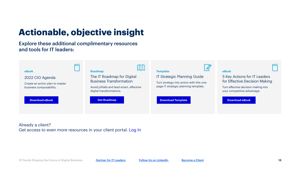### **Actionable, objective insight**

### Explore these additional complimentary resources and tools for IT leaders:



Already a client? Get access to even more resources in your client portal. [Log In](https://www.gartner.com/account/signin)